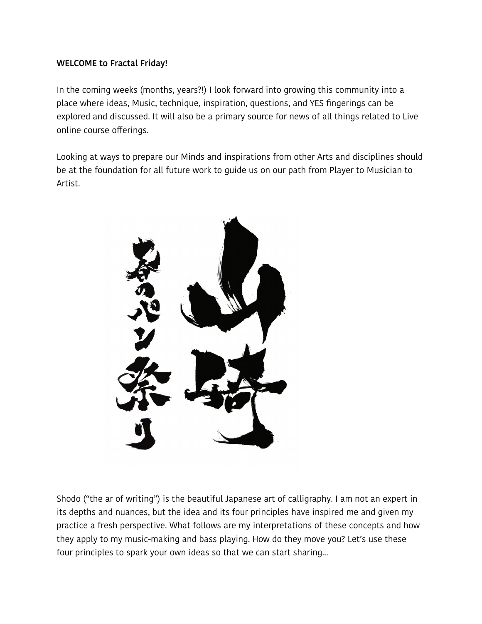### **WELCOME to Fractal Friday!**

In the coming weeks (months, years?!) I look forward into growing this community into a place where ideas, Music, technique, inspiration, questions, and YES fingerings can be explored and discussed. It will also be a primary source for news of all things related to Live online course offerings.

Looking at ways to prepare our Minds and inspirations from other Arts and disciplines should be at the foundation for all future work to guide us on our path from Player to Musician to Artist.



Shodo ("the ar of writing") is the beautiful Japanese art of calligraphy. I am not an expert in its depths and nuances, but the idea and its four principles have inspired me and given my practice a fresh perspective. What follows are my interpretations of these concepts and how they apply to my music-making and bass playing. How do they move you? Let's use these four principles to spark your own ideas so that we can start sharing...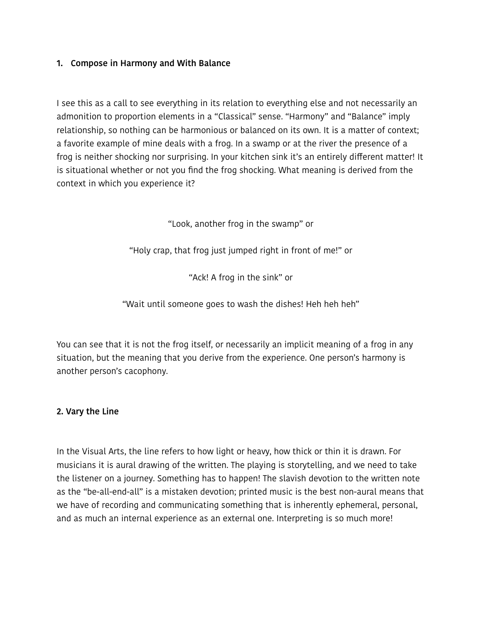### **1. Compose in Harmony and With Balance**

I see this as a call to see everything in its relation to everything else and not necessarily an admonition to proportion elements in a "Classical" sense. "Harmony" and "Balance" imply relationship, so nothing can be harmonious or balanced on its own. It is a matter of context; a favorite example of mine deals with a frog. In a swamp or at the river the presence of a frog is neither shocking nor surprising. In your kitchen sink it's an entirely diferent matter! It is situational whether or not you find the frog shocking. What meaning is derived from the context in which you experience it?

"Look, another frog in the swamp" or

"Holy crap, that frog just jumped right in front of me!" or

"Ack! A frog in the sink" or

"Wait until someone goes to wash the dishes! Heh heh heh"

You can see that it is not the frog itself, or necessarily an implicit meaning of a frog in any situation, but the meaning that you derive from the experience. One person's harmony is another person's cacophony.

### **2. Vary the Line**

In the Visual Arts, the line refers to how light or heavy, how thick or thin it is drawn. For musicians it is aural drawing of the written. The playing is storytelling, and we need to take the listener on a journey. Something has to happen! The slavish devotion to the written note as the "be-all-end-all" is a mistaken devotion; printed music is the best non-aural means that we have of recording and communicating something that is inherently ephemeral, personal, and as much an internal experience as an external one. Interpreting is so much more!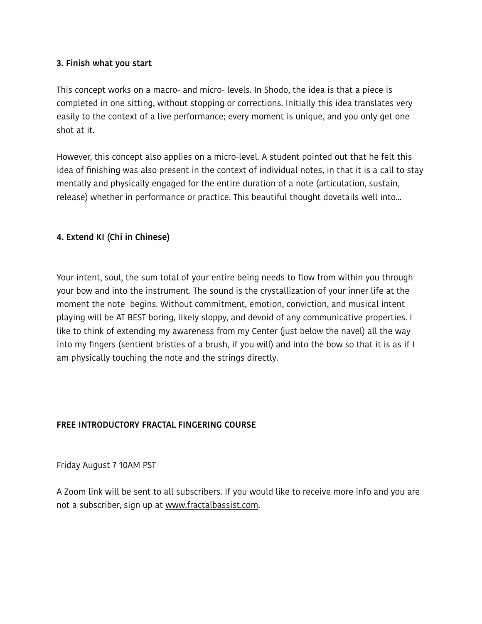#### **3. Finish what you start**

This concept works on a macro- and micro- levels. In Shodo, the idea is that a piece is completed in one sitting, without stopping or corrections. Initially this idea translates very easily to the context of a live performance; every moment is unique, and you only get one shot at it.

However, this concept also applies on a micro-level. A student pointed out that he felt this idea of finishing was also present in the context of individual notes, in that it is a call to stay mentally and physically engaged for the entire duration of a note (articulation, sustain, release) whether in performance or practice. This beautiful thought dovetails well into...

## **4. Extend KI (Chi in Chinese)**

Your intent, soul, the sum total of your entire being needs to flow from within you through your bow and into the instrument. The sound is the crystallization of your inner life at the moment the note begins. Without commitment, emotion, conviction, and musical intent playing will be AT BEST boring, likely sloppy, and devoid of any communicative properties. I like to think of extending my awareness from my Center (just below the navel) all the way into my fingers (sentient bristles of a brush, if you will) and into the bow so that it is as if I am physically touching the note and the strings directly.

### **FREE INTRODUCTORY FRACTAL FINGERING COURSE**

### Friday August 7 10AM PST

A Zoom link will be sent to all subscribers. If you would like to receive more info and you are not a subscriber, sign up at [www.fractalbassist.com](http://www.fractalbassist.com).